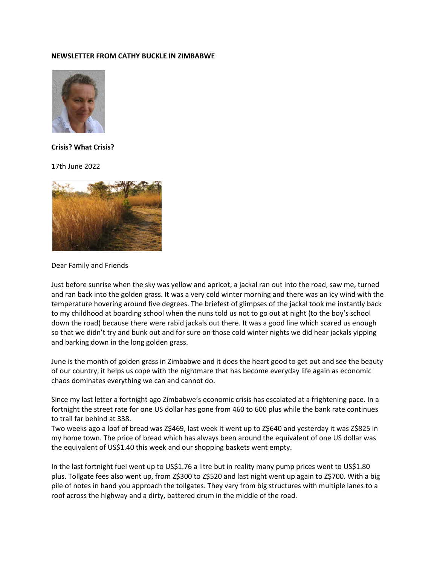## **NEWSLETTER FROM CATHY BUCKLE IN ZIMBABWE**



## **Crisis? What Crisis?**

17th June 2022



Dear Family and Friends

Just before sunrise when the sky was yellow and apricot, a jackal ran out into the road, saw me, turned and ran back into the golden grass. It was a very cold winter morning and there was an icy wind with the temperature hovering around five degrees. The briefest of glimpses of the jackal took me instantly back to my childhood at boarding school when the nuns told us not to go out at night (to the boy's school down the road) because there were rabid jackals out there. It was a good line which scared us enough so that we didn't try and bunk out and for sure on those cold winter nights we did hear jackals yipping and barking down in the long golden grass.

June is the month of golden grass in Zimbabwe and it does the heart good to get out and see the beauty of our country, it helps us cope with the nightmare that has become everyday life again as economic chaos dominates everything we can and cannot do.

Since my last letter a fortnight ago Zimbabwe's economic crisis has escalated at a frightening pace. In a fortnight the street rate for one US dollar has gone from 460 to 600 plus while the bank rate continues to trail far behind at 338.

Two weeks ago a loaf of bread was Z\$469, last week it went up to Z\$640 and yesterday it was Z\$825 in my home town. The price of bread which has always been around the equivalent of one US dollar was the equivalent of US\$1.40 this week and our shopping baskets went empty.

In the last fortnight fuel went up to US\$1.76 a litre but in reality many pump prices went to US\$1.80 plus. Tollgate fees also went up, from Z\$300 to Z\$520 and last night went up again to Z\$700. With a big pile of notes in hand you approach the tollgates. They vary from big structures with multiple lanes to a roof across the highway and a dirty, battered drum in the middle of the road.